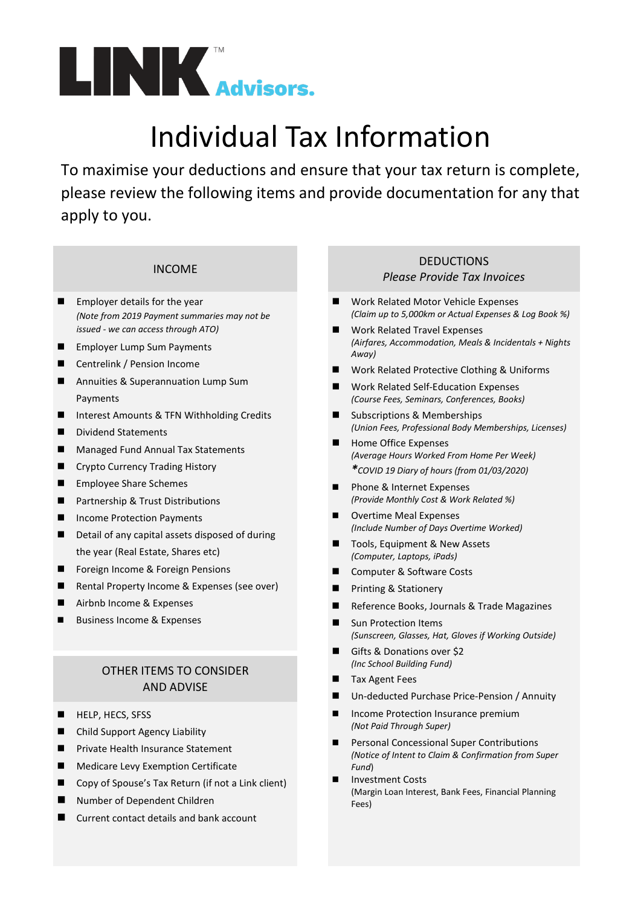

# Individual Tax Information

To maximise your deductions and ensure that your tax return is complete, please review the following items and provide documentation for any that apply to you.

- **Employer details for the year** *(Note from 2019 Payment summaries may not be issued - we can access through ATO)*
- Employer Lump Sum Payments
- Centrelink / Pension Income
- Annuities & Superannuation Lump Sum Payments
- Interest Amounts & TFN Withholding Credits
- Dividend Statements
- Managed Fund Annual Tax Statements
- **E** Crypto Currency Trading History
- **Employee Share Schemes**
- **Partnership & Trust Distributions**
- Income Protection Payments
- Detail of any capital assets disposed of during the year (Real Estate, Shares etc)
- Foreign Income & Foreign Pensions
- Rental Property Income & Expenses (see over)
- Airbnb Income & Expenses
- Business Income & Expenses

### OTHER ITEMS TO CONSIDER AND ADVISE

- HELP, HECS, SFSS
- Child Support Agency Liability
- Private Health Insurance Statement
- **Medicare Levy Exemption Certificate**
- Copy of Spouse's Tax Return (if not a Link client)
- Number of Dependent Children
- Current contact details and bank account

#### INCOME DEDUCTIONS DEDUCTIONS *Please Provide Tax Invoices*

- Work Related Motor Vehicle Expenses *(Claim up to 5,000km or Actual Expenses & Log Book %)*
- Work Related Travel Expenses *(Airfares, Accommodation, Meals & Incidentals + Nights Away)*
- Work Related Protective Clothing & Uniforms
- Work Related Self-Education Expenses *(Course Fees, Seminars, Conferences, Books)*
- Subscriptions & Memberships *(Union Fees, Professional Body Memberships, Licenses)*
- Home Office Expenses *(Average Hours Worked From Home Per Week) \*COVID 19 Diary of hours (from 01/03/2020)*
- Phone & Internet Expenses *(Provide Monthly Cost & Work Related %)*
- Overtime Meal Expenses *(Include Number of Days Overtime Worked)*
- Tools, Equipment & New Assets *(Computer, Laptops, iPads)*
- Computer & Software Costs
- Printing & Stationery
- Reference Books, Journals & Trade Magazines
- **Sun Protection Items** *(Sunscreen, Glasses, Hat, Gloves if Working Outside)*
- Gifts & Donations over \$2 *(Inc School Building Fund)*
- Tax Agent Fees
- Un-deducted Purchase Price-Pension / Annuity
- Income Protection Insurance premium *(Not Paid Through Super)*
- Personal Concessional Super Contributions *(Notice of Intent to Claim & Confirmation from Super Fund*)
- Investment Costs (Margin Loan Interest, Bank Fees, Financial Planning Fees)